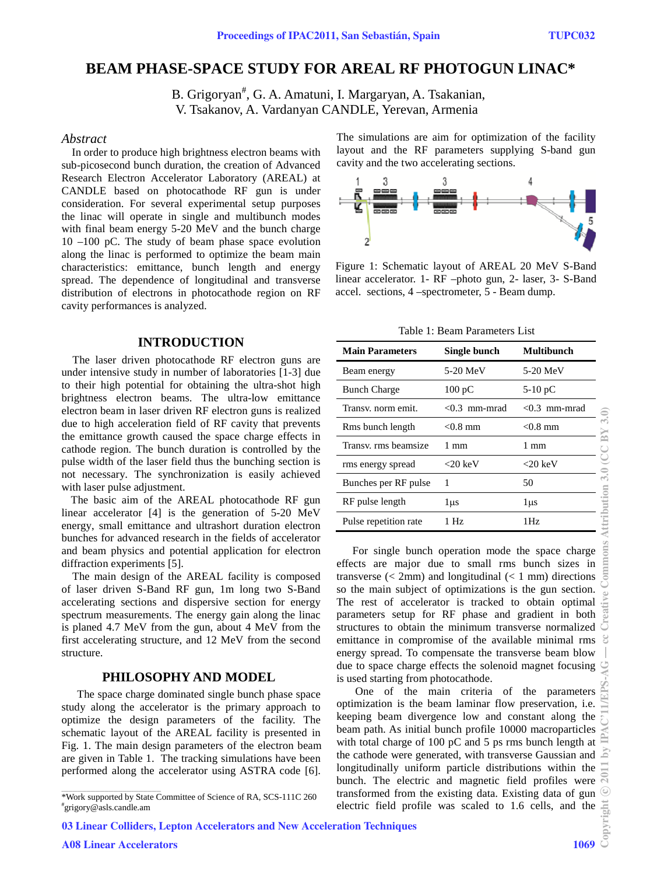# **BEAM PHASE-SPACE STUDY FOR AREAL RF PHOTOGUN LINAC \***

B. Grigoryan<sup>#</sup>, G. A. Amatuni, I. Margaryan, A. Tsakanian, V. Tsakanov, A. Vardanyan CANDLE, Yerevan, Armenia

### *Abstract*

In order to produce high brightness electron beams with sub-picosecond bunch duration, the creation of Advanced Research Electron Accelerator Laboratory (AREAL) at CANDLE based on photocathode RF gun is under consideration. For several experimental setup purposes the linac will operate in single and multibunch modes with final beam energy 5-20 MeV and the bunch charge 10 –100 pC. The study of beam phase space evolution along the linac is performed to optimize the beam main characteristics: emittance, bunch length and energy spread. The dependence of longitudinal and transverse distribution of electrons in photocathode region on RF cavity performances is analyzed.

## **INTRODUCTION**

 The laser driven photocathode RF electron guns are under intensive study in number of laboratories [1-3] due to their high potential for obtaining the ultra-shot high brightness electron beams. The ultra-low emittance electron beam in laser driven RF electron guns is realized due to high acceleration field of RF cavity that prevents the emittance growth caused the space charge effects in cathode region. The bunch duration is controlled by the pulse width of the laser field thus the bunching section is not necessary. The synchronization is easily achieved with laser pulse adjustment.

 The basic aim of the AREAL photocathode RF gun linear accelerator [4] is the generation of 5-20 MeV energy, small emittance and ultrashort duration electron bunches for advanced research in the fields of accelerator and beam physics and potential application for electron diffraction experiments [5].

 The main design of the AREAL facility is composed of laser driven S-Band RF gun, 1m long two S-Band accelerating sections and dispersive section for energy spectrum measurements. The energy gain along the linac is planed 4.7 MeV from the gun, about 4 MeV from the first accelerating structure, and 12 MeV from the second structure.

### **PHILOSOPHY AND MODEL**

 The space charge dominated single bunch phase space study along the accelerator is the primary approach to optimize the design parameters of the facility. The schematic layout of the AREAL facility is presented in Fig. 1. The main design parameters of the electron beam are given in Table 1. The tracking simulations have been performed along the accelerator using ASTRA code [6].

03 Linear Colliders, Lepton Accelerators and New Acceleration Techniques

The simulations are aim for optimization of the facility layout and the RF parameters supplying S-band gun cavity and the two accelerating sections.



Figure 1: Schematic layout of AREAL 20 MeV S-Band linear accelerator. 1- RF –photo gun, 2- laser, 3- S-Band accel. sections, 4 –spectrometer, 5 - Beam dump.

Table 1: Beam Parameters List

| <b>Main Parameters</b> | Single bunch       | <b>Multibunch</b> |
|------------------------|--------------------|-------------------|
| Beam energy            | 5-20 MeV           | 5-20 MeV          |
| <b>Bunch Charge</b>    | $100\,\mathrm{pC}$ | $5-10$ pC         |
| Transy, norm emit.     | <0.3 mm-mrad       | $< 0.3$ mm-mrad   |
| Rms bunch length       | $< 0.8$ mm         | $< 0.8$ mm        |
| Transy, rms beamsize   | 1 mm               | 1 mm              |
| rms energy spread      | $<$ 20 keV         | ${<}20~{\rm keV}$ |
| Bunches per RF pulse   | 1                  | 50                |
| RF pulse length        | 1 µs               | 1μs               |
| Pulse repetition rate  | 1 Hz               | 1Hz               |

 For single bunch operation mode the space charge effects are major due to small rms bunch sizes in transverse  $\left($  < 2mm) and longitudinal  $\left($  < 1 mm) directions so the main subject of optimizations is the gun section. The rest of accelerator is tracked to obtain optimal parameters setup for RF phase and gradient in both structures to obtain the minimum transverse normalized emittance in compromise of the available minimal rms energy spread. To compensate the transverse beam blow due to space charge effects the solenoid magnet focusing is used starting from photocathode.

 One of the main criteria of the parameters optimization is the beam laminar flow preservation, i.e. keeping beam divergence low and constant along the beam path. As initial bunch profile 10000 macroparticles with total charge of 100 pC and 5 ps rms bunch length at the cathode were generated, with transverse Gaussian and longitudinally uniform particle distributions within the bunch. The electric and magnetic field profiles were transformed from the existing data. Existing data of gun electric field profile was scaled to 1.6 cells, and the

<sup>\*</sup>Work supported by State Committee of Science of RA, SCS-111C 260 # grigory@asls.candle.am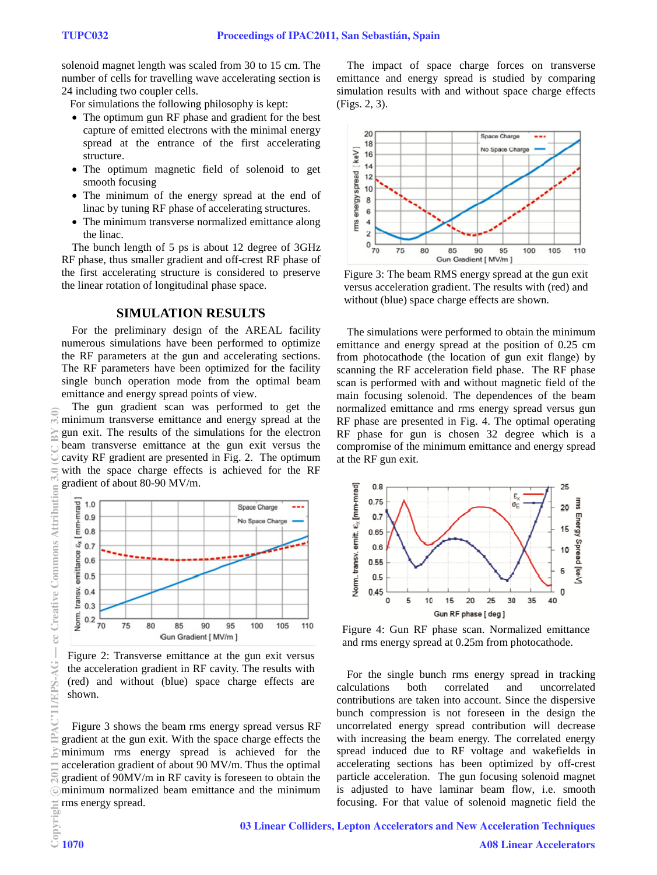solenoid magnet length was scaled from 30 to 15 cm. The number of cells for travelling wave accelerating section is 24 including two coupler cells.

For simulations the following philosophy is kept:

- The optimum gun RF phase and gradient for the best capture of emitted electrons with the minimal energy spread at the entrance of the first accelerating structure.
- The optimum magnetic field of solenoid to get smooth focusing
- The minimum of the energy spread at the end of linac by tuning RF phase of accelerating structures.
- The minimum transverse normalized emittance along the linac.

The bunch length of 5 ps is about 12 degree of 3GHz RF phase, thus smaller gradient and off-crest RF phase of the first accelerating structure is considered to preserve the linear rotation of longitudinal phase space.

# **SIMULATION RESULTS**

For the preliminary design of the AREAL facility numerous simulations have been performed to optimize the RF parameters at the gun and accelerating sections. The RF parameters have been optimized for the facility single bunch operation mode from the optimal beam emittance and energy spread points of view.

The gun gradient scan was performed to get the minimum transverse emittance and energy spread at the gun exit. The results of the simulations for the electron beam transverse emittance at the gun exit versus the cavity RF gradient are presented in Fig. 2. The optimum with the space charge effects is achieved for the RF gradient of about 80-90 MV/m.



Figure 2: Transverse emittance at the gun exit versus the acceleration gradient in RF cavity. The results with (red) and without (blue) space charge effects are shown.

Figure 3 shows the beam rms energy spread versus RF gradient at the gun exit. With the space charge effects the minimum rms energy spread is achieved for the acceleration gradient of about 90 MV/m. Thus the optimal gradient of 90MV/m in RF cavity is foreseen to obtain the minimum normalized beam emittance and the minimum rms energy spread.

The impact of space charge forces on transverse emittance and energy spread is studied by comparing simulation results with and without space charge effects (Figs. 2, 3).



Figure 3: The beam RMS energy spread at the gun exit versus acceleration gradient. The results with (red) and without (blue) space charge effects are shown.

The simulations were performed to obtain the minimum emittance and energy spread at the position of 0.25 cm from photocathode (the location of gun exit flange) by scanning the RF acceleration field phase. The RF phase scan is performed with and without magnetic field of the main focusing solenoid. The dependences of the beam normalized emittance and rms energy spread versus gun RF phase are presented in Fig. 4. The optimal operating RF phase for gun is chosen 32 degree which is a compromise of the minimum emittance and energy spread at the RF gun exit.



Figure 4: Gun RF phase scan. Normalized emittance and rms energy spread at 0.25m from photocathode.

For the single bunch rms energy spread in tracking calculations both correlated and uncorrelated contributions are taken into account. Since the dispersive bunch compression is not foreseen in the design the uncorrelated energy spread contribution will decrease with increasing the beam energy. The correlated energy spread induced due to RF voltage and wakefields in accelerating sections has been optimized by off-crest particle acceleration. The gun focusing solenoid magnet is adjusted to have laminar beam flow, i.e. smooth focusing. For that value of solenoid magnetic field the

03 Linear Colliders, Lepton Accelerators and New Acceleration Techniques